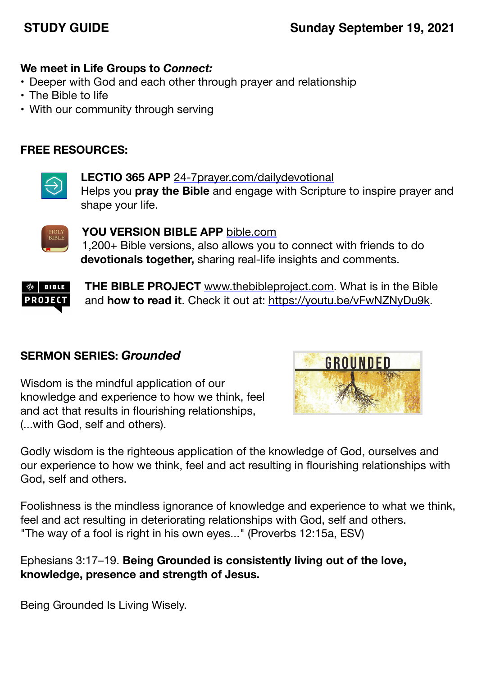# **STUDY GUIDE Sunday September 19, 2021**

### **We meet in Life Groups to** *Connect:*

- Deeper with God and each other through prayer and relationship
- The Bible to life
- With our community through serving

## **FREE RESOURCES:**



**LECTIO 365 APP** [24-7prayer.com/dailydevotional](http://24-7prayer.com/dailydevotional) Helps you **pray the Bible** and engage with Scripture to inspire prayer and shape your life.



**YOU VERSION BIBLE APP** [bible.com](http://bible.com) 1,200+ Bible versions, also allows you to connect with friends to do **devotionals together,** sharing real-life insights and comments.



**THE BIBLE PROJECT** [www.thebibleproject.com.](http://www.thebibleproject.com) What is in the Bible and **how to read it**. Check it out at:<https://youtu.be/vFwNZNyDu9k>.

## **SERMON SERIES:** *Grounded*

Wisdom is the mindful application of our knowledge and experience to how we think, feel and act that results in flourishing relationships, (...with God, self and others).



Godly wisdom is the righteous application of the knowledge of God, ourselves and our experience to how we think, feel and act resulting in flourishing relationships with God, self and others.

Foolishness is the mindless ignorance of knowledge and experience to what we think, feel and act resulting in deteriorating relationships with God, self and others. "The way of a fool is right in his own eyes..." (Proverbs 12:15a, ESV)

Ephesians 3:17–19. **Being Grounded is consistently living out of the love, knowledge, presence and strength of Jesus.**

Being Grounded Is Living Wisely.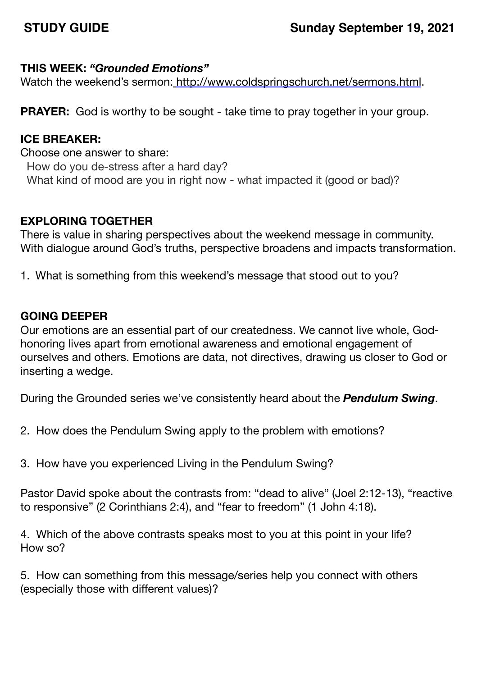## **THIS WEEK:** *"Grounded Emotions"*

Watch the weekend's sermon: <http://www.coldspringschurch.net/sermons.html>.

**PRAYER:** God is worthy to be sought - take time to pray together in your group.

## **ICE BREAKER:**

Choose one answer to share: How do you de-stress after a hard day? What kind of mood are you in right now - what impacted it (good or bad)?

# **EXPLORING TOGETHER**

There is value in sharing perspectives about the weekend message in community. With dialogue around God's truths, perspective broadens and impacts transformation.

1. What is something from this weekend's message that stood out to you?

# **GOING DEEPER**

Our emotions are an essential part of our createdness. We cannot live whole, Godhonoring lives apart from emotional awareness and emotional engagement of ourselves and others. Emotions are data, not directives, drawing us closer to God or inserting a wedge.

During the Grounded series we've consistently heard about the *Pendulum Swing*.

- 2. How does the Pendulum Swing apply to the problem with emotions?
- 3. How have you experienced Living in the Pendulum Swing?

Pastor David spoke about the contrasts from: "dead to alive" (Joel 2:12-13), "reactive to responsive" (2 Corinthians 2:4), and "fear to freedom" (1 John 4:18).

4. Which of the above contrasts speaks most to you at this point in your life? How so?

5. How can something from this message/series help you connect with others (especially those with different values)?